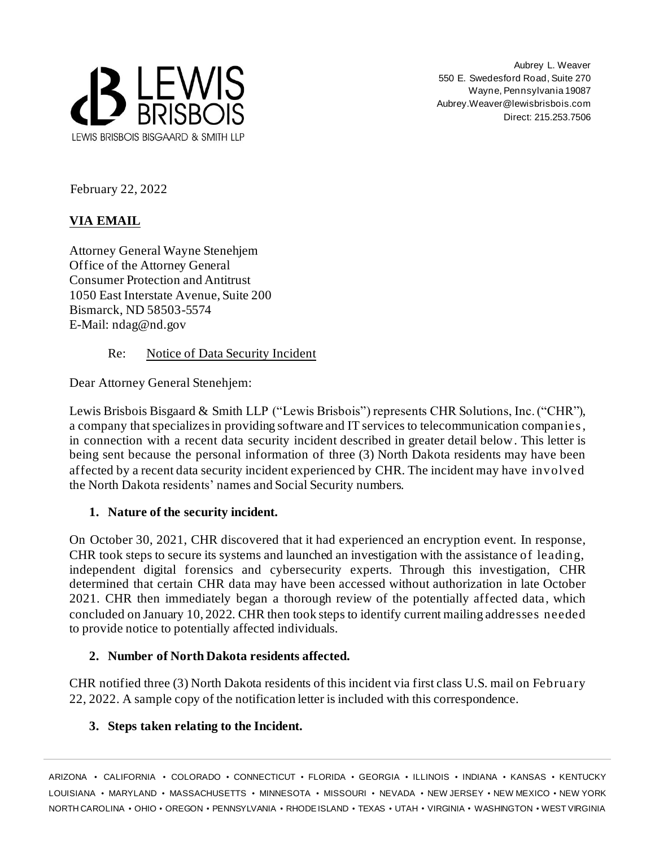

Aubrey L. Weaver 550 E. Swedesford Road, Suite 270 Wayne, Pennsylvania 19087 Aubrey.Weaver@lewisbrisbois.com Direct: 215.253.7506

February 22, 2022

# **VIA EMAIL**

Attorney General Wayne Stenehjem Office of the Attorney General Consumer Protection and Antitrust 1050 East Interstate Avenue, Suite 200 Bismarck, ND 58503-5574 E-Mail: ndag@nd.gov

## Re: Notice of Data Security Incident

Dear Attorney General Stenehjem:

Lewis Brisbois Bisgaard & Smith LLP ("Lewis Brisbois") represents CHR Solutions, Inc. ("CHR"), a company that specializesin providing software and IT services to telecommunication companies, in connection with a recent data security incident described in greater detail below. This letter is being sent because the personal information of three (3) North Dakota residents may have been affected by a recent data security incident experienced by CHR. The incident may have involved the North Dakota residents' names and Social Security numbers.

## **1. Nature of the security incident.**

On October 30, 2021, CHR discovered that it had experienced an encryption event. In response, CHR took steps to secure its systems and launched an investigation with the assistance of leading, independent digital forensics and cybersecurity experts. Through this investigation, CHR determined that certain CHR data may have been accessed without authorization in late October 2021. CHR then immediately began a thorough review of the potentially affected data, which concluded on January 10, 2022. CHR then took steps to identify current mailing addresses needed to provide notice to potentially affected individuals.

## **2. Number of North Dakota residents affected.**

CHR notified three (3) North Dakota residents of this incident via first class U.S. mail on February 22, 2022. A sample copy of the notification letter is included with this correspondence.

### **3. Steps taken relating to the Incident.**

ARIZONA • CALIFORNIA • COLORADO • CONNECTICUT • FLORIDA • GEORGIA • ILLINOIS • INDIANA • KANSAS • KENTUCKY LOUISIANA • MARYLAND • MASSACHUSETTS • MINNESOTA • MISSOURI • NEVADA • NEW JERSEY • NEW MEXICO • NEW YORK NORTH CAROLINA • OHIO • OREGON • PENNSYLVANIA • RHODEISLAND • TEXAS • UTAH • VIRGINIA • WASHINGTON • WEST VIRGINIA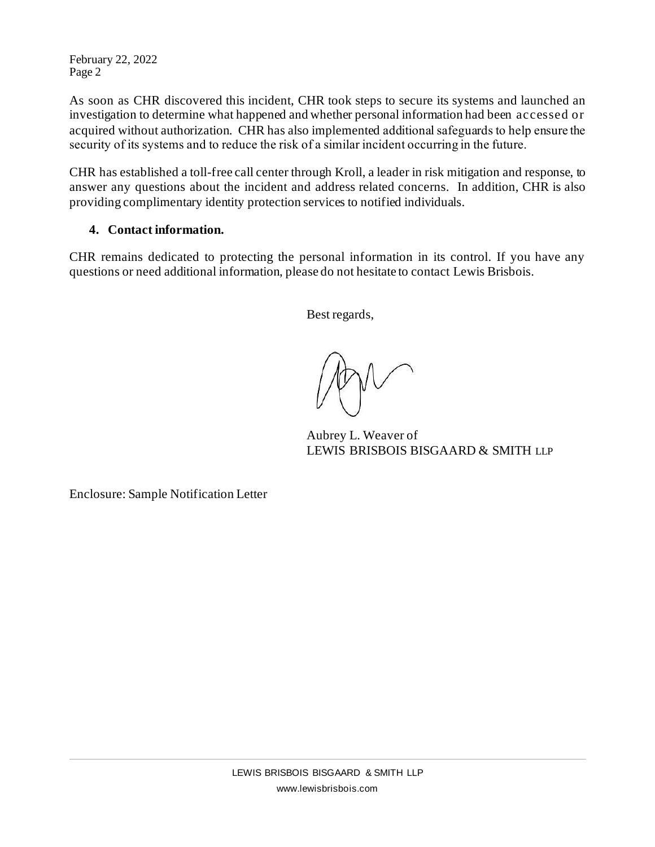February 22, 2022 Page 2

As soon as CHR discovered this incident, CHR took steps to secure its systems and launched an investigation to determine what happened and whether personal information had been accessed or acquired without authorization. CHR has also implemented additional safeguards to help ensure the security of its systems and to reduce the risk of a similar incident occurring in the future.

CHR has established a toll-free call center through Kroll, a leader in risk mitigation and response, to answer any questions about the incident and address related concerns. In addition, CHR is also providing complimentary identity protection services to notified individuals.

# **4. Contact information.**

CHR remains dedicated to protecting the personal information in its control. If you have any questions or need additional information, please do not hesitate to contact Lewis Brisbois.

Best regards,

Aubrey L. Weaver of LEWIS BRISBOIS BISGAARD & SMITH LLP

Enclosure: Sample Notification Letter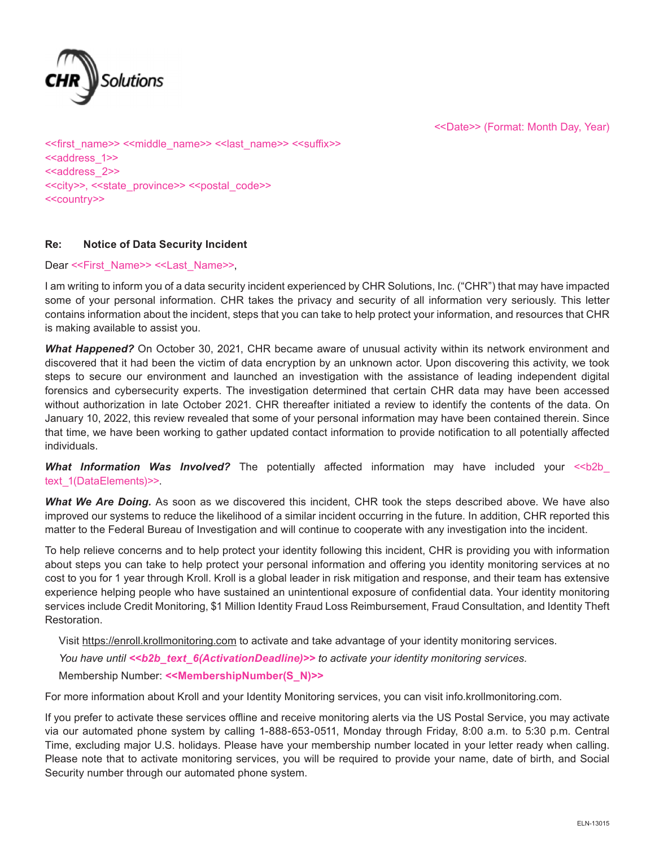

<<Date>> (Format: Month Day, Year)

<<first\_name>> <<middle\_name>> <<last\_name>> <<suffix>> <<address\_1>> <<address 2>> <<city>>, <<state\_province>> <<postal\_code>> <<country>>

#### **Re: Notice of Data Security Incident**

Dear <<First\_Name>> <<Last\_Name>>,

I am writing to inform you of a data security incident experienced by CHR Solutions, Inc. ("CHR") that may have impacted some of your personal information. CHR takes the privacy and security of all information very seriously. This letter contains information about the incident, steps that you can take to help protect your information, and resources that CHR is making available to assist you.

*What Happened?* On October 30, 2021, CHR became aware of unusual activity within its network environment and discovered that it had been the victim of data encryption by an unknown actor. Upon discovering this activity, we took steps to secure our environment and launched an investigation with the assistance of leading independent digital forensics and cybersecurity experts. The investigation determined that certain CHR data may have been accessed without authorization in late October 2021. CHR thereafter initiated a review to identify the contents of the data. On January 10, 2022, this review revealed that some of your personal information may have been contained therein. Since that time, we have been working to gather updated contact information to provide notification to all potentially affected individuals.

**What Information Was Involved?** The potentially affected information may have included your <<br/>b2b text\_1(DataElements)>>.

*What We Are Doing.* As soon as we discovered this incident, CHR took the steps described above. We have also improved our systems to reduce the likelihood of a similar incident occurring in the future. In addition, CHR reported this matter to the Federal Bureau of Investigation and will continue to cooperate with any investigation into the incident.

To help relieve concerns and to help protect your identity following this incident, CHR is providing you with information about steps you can take to help protect your personal information and offering you identity monitoring services at no cost to you for 1 year through Kroll. Kroll is a global leader in risk mitigation and response, and their team has extensive experience helping people who have sustained an unintentional exposure of confidential data. Your identity monitoring services include Credit Monitoring, \$1 Million Identity Fraud Loss Reimbursement, Fraud Consultation, and Identity Theft Restoration.

Visit https://enroll.krollmonitoring.com to activate and take advantage of your identity monitoring services. *You have until <<b2b\_text\_6(ActivationDeadline)>> to activate your identity monitoring services.* Membership Number: **<<MembershipNumber(S\_N)>>**

For more information about Kroll and your Identity Monitoring services, you can visit info.krollmonitoring.com.

If you prefer to activate these services offline and receive monitoring alerts via the US Postal Service, you may activate via our automated phone system by calling 1-888-653-0511, Monday through Friday, 8:00 a.m. to 5:30 p.m. Central Time, excluding major U.S. holidays. Please have your membership number located in your letter ready when calling. Please note that to activate monitoring services, you will be required to provide your name, date of birth, and Social Security number through our automated phone system.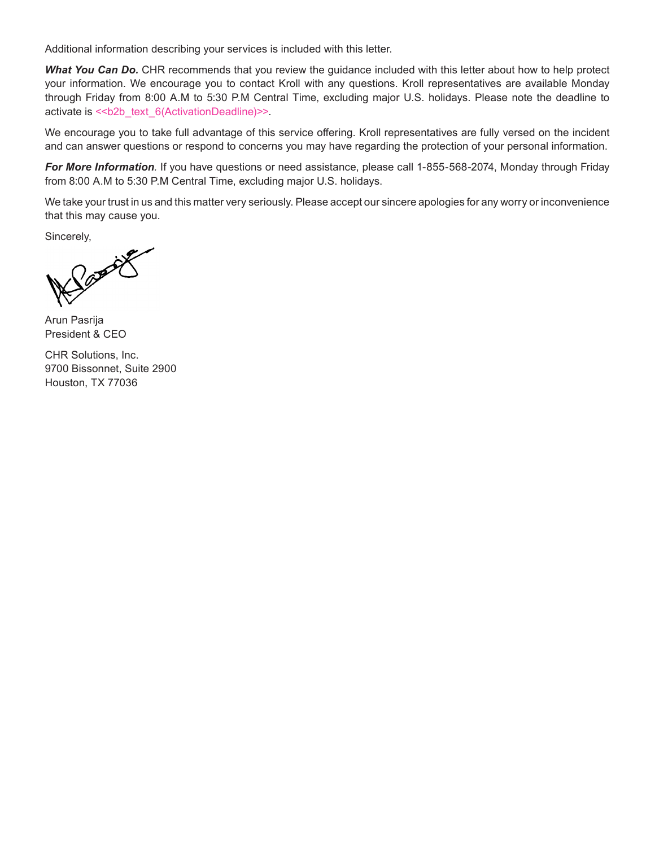Additional information describing your services is included with this letter.

*What You Can Do.* CHR recommends that you review the guidance included with this letter about how to help protect your information. We encourage you to contact Kroll with any questions. Kroll representatives are available Monday through Friday from 8:00 A.M to 5:30 P.M Central Time, excluding major U.S. holidays. Please note the deadline to activate is <<br/>b>>text\_6(ActivationDeadline)>>.

We encourage you to take full advantage of this service offering. Kroll representatives are fully versed on the incident and can answer questions or respond to concerns you may have regarding the protection of your personal information.

*For More Information.* If you have questions or need assistance, please call 1-855-568-2074, Monday through Friday from 8:00 A.M to 5:30 P.M Central Time, excluding major U.S. holidays.

We take your trust in us and this matter very seriously. Please accept our sincere apologies for any worry or inconvenience that this may cause you.

Sincerely,

Barrick

Arun Pasrija President & CEO

CHR Solutions, Inc. 9700 Bissonnet, Suite 2900 Houston, TX 77036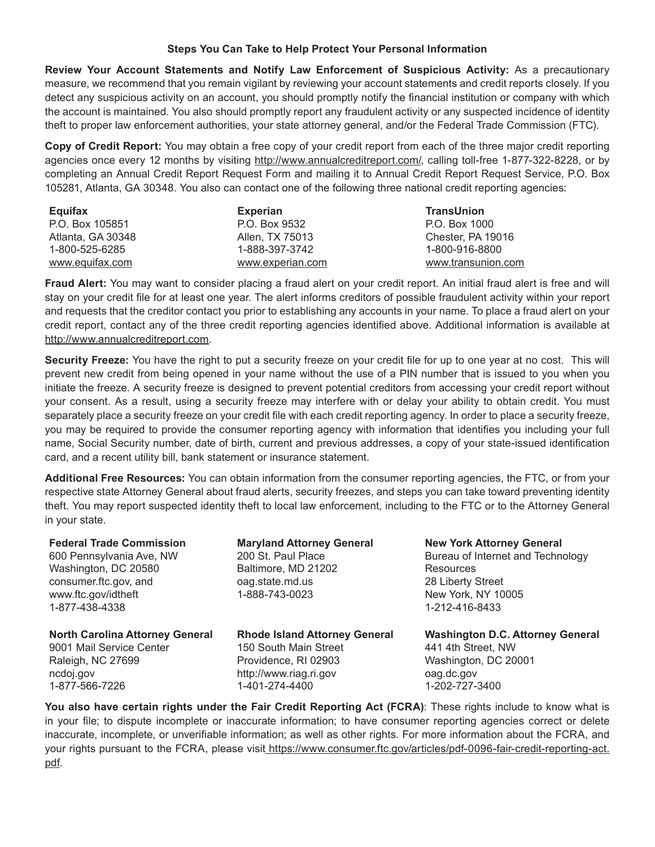#### **Steps You Can Take to Help Protect Your Personal Information**

**Review Your Account Statements and Notify Law Enforcement of Suspicious Activity:** As a precautionary measure, we recommend that you remain vigilant by reviewing your account statements and credit reports closely. If you detect any suspicious activity on an account, you should promptly notify the financial institution or company with which the account is maintained. You also should promptly report any fraudulent activity or any suspected incidence of identity theft to proper law enforcement authorities, your state attorney general, and/or the Federal Trade Commission (FTC).

**Copy of Credit Report:** You may obtain a free copy of your credit report from each of the three major credit reporting agencies once every 12 months by visiting http://www.annualcreditreport.com/, calling toll-free 1-877-322-8228, or by completing an Annual Credit Report Request Form and mailing it to Annual Credit Report Request Service, P.O. Box 105281, Atlanta, GA 30348. You also can contact one of the following three national credit reporting agencies:

| Equifax           | <b>Experian</b>  | <b>TransUnion</b>  |
|-------------------|------------------|--------------------|
| P.O. Box 105851   | P.O. Box 9532    | P.O. Box 1000      |
| Atlanta, GA 30348 | Allen, TX 75013  | Chester, PA 19016  |
| 1-800-525-6285    | 1-888-397-3742   | 1-800-916-8800     |
| www.equifax.com   | www.experian.com | www.transunion.com |

**Fraud Alert:** You may want to consider placing a fraud alert on your credit report. An initial fraud alert is free and will stay on your credit file for at least one year. The alert informs creditors of possible fraudulent activity within your report and requests that the creditor contact you prior to establishing any accounts in your name. To place a fraud alert on your credit report, contact any of the three credit reporting agencies identified above. Additional information is available at http://www.annualcreditreport.com.

**Security Freeze:** You have the right to put a security freeze on your credit file for up to one year at no cost. This will prevent new credit from being opened in your name without the use of a PIN number that is issued to you when you initiate the freeze. A security freeze is designed to prevent potential creditors from accessing your credit report without your consent. As a result, using a security freeze may interfere with or delay your ability to obtain credit. You must separately place a security freeze on your credit file with each credit reporting agency. In order to place a security freeze, you may be required to provide the consumer reporting agency with information that identifies you including your full name, Social Security number, date of birth, current and previous addresses, a copy of your state-issued identification card, and a recent utility bill, bank statement or insurance statement.

**Additional Free Resources:** You can obtain information from the consumer reporting agencies, the FTC, or from your respective state Attorney General about fraud alerts, security freezes, and steps you can take toward preventing identity theft. You may report suspected identity theft to local law enforcement, including to the FTC or to the Attorney General in your state.

| <b>Federal Trade Commission</b><br>600 Pennsylvania Ave, NW<br>Washington, DC 20580<br>consumer.ftc.gov, and<br>www.ftc.gov/idtheft<br>1-877-438-4338 | <b>Maryland Attorney General</b><br>200 St. Paul Place<br>Baltimore, MD 21202<br>oag.state.md.us<br>1-888-743-0023 | <b>New York Attorney General</b><br>Bureau of Internet and Technology<br><b>Resources</b><br>28 Liberty Street<br>New York, NY 10005<br>1-212-416-8433 |
|-------------------------------------------------------------------------------------------------------------------------------------------------------|--------------------------------------------------------------------------------------------------------------------|--------------------------------------------------------------------------------------------------------------------------------------------------------|
| <b>North Carolina Attorney General</b>                                                                                                                | <b>Rhode Island Attorney General</b>                                                                               | <b>Washington D.C. Attorney General</b>                                                                                                                |
| 9001 Mail Service Center                                                                                                                              | 150 South Main Street                                                                                              | 441 4th Street, NW                                                                                                                                     |
| Raleigh, NC 27699                                                                                                                                     | Providence, RI 02903                                                                                               | Washington, DC 20001                                                                                                                                   |
| ncdoj.gov                                                                                                                                             | http://www.riag.ri.gov                                                                                             | oag.dc.gov                                                                                                                                             |
| 1-877-566-7226                                                                                                                                        | 1-401-274-4400                                                                                                     | 1-202-727-3400                                                                                                                                         |

**You also have certain rights under the Fair Credit Reporting Act (FCRA)**: These rights include to know what is in your file; to dispute incomplete or inaccurate information; to have consumer reporting agencies correct or delete inaccurate, incomplete, or unverifiable information; as well as other rights. For more information about the FCRA, and your rights pursuant to the FCRA, please visit https://www.consumer.ftc.gov/articles/pdf-0096-fair-credit-reporting-act. pdf.